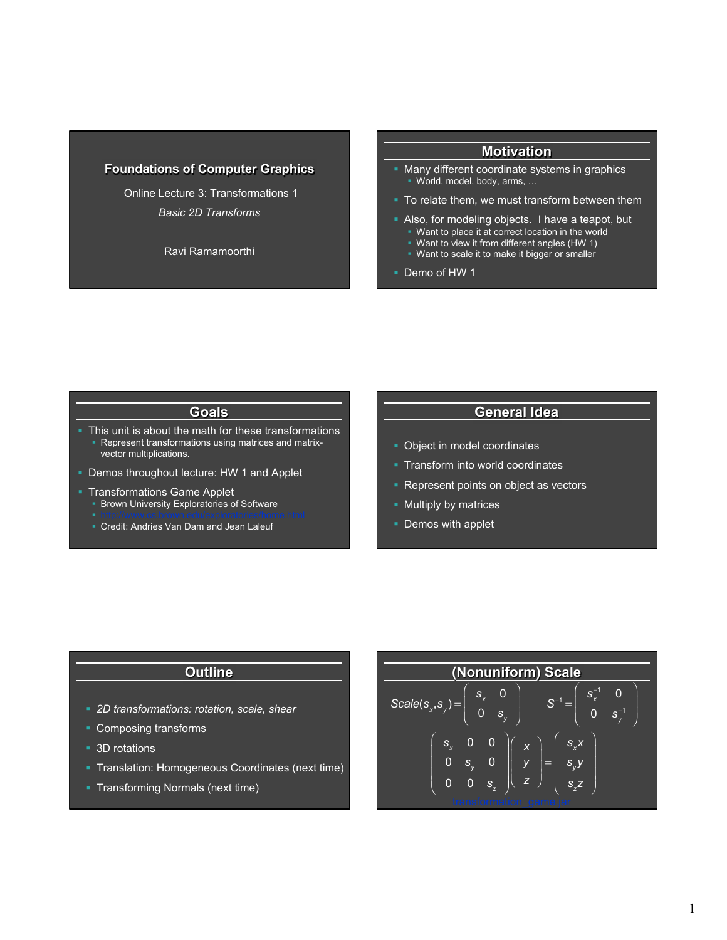## **Foundations of Computer Graphics**

 Online Lecture 3: Transformations 1 *Basic 2D Transforms* 

Ravi Ramamoorthi

#### **Motivation**

- § Many different coordinate systems in graphics § World, model, body, arms, …
- To relate them, we must transform between them
- Also, for modeling objects. I have a teapot, but • Want to place it at correct location in the world
	- § Want to view it from different angles (HW 1)
	- Want to scale it to make it bigger or smaller

§ Demo of HW 1

# **Goals**

This unit is about the math for these transformations Represent transformations using matrices and matrixvector multiplications.

- Demos throughout lecture: HW 1 and Applet
- § Transformations Game Applet
	- § Brown University Exploratories of Software
	- § Credit: Andries Van Dam and Jean Laleuf

# **General Idea**

- § Object in model coordinates
- Transform into world coordinates
- Represent points on object as vectors
- Multiply by matrices
- Demos with applet

## **Outline**

- § *2D transformations: rotation, scale, shear*
- § Composing transforms
- 3D rotations
- § Translation: Homogeneous Coordinates (next time)
- § Transforming Normals (next time)

| (Nonuniform) Scale                                               |
|------------------------------------------------------------------|
| $S_{x}$<br>$S_{x}$<br>$Scale(s_x, s_y)$<br>0<br>$\mathbf{S}_\nu$ |
| $S_{x}X$<br>$S_{\cdot}$<br>X<br>S<br>=<br>z<br>$S_{z}$           |
|                                                                  |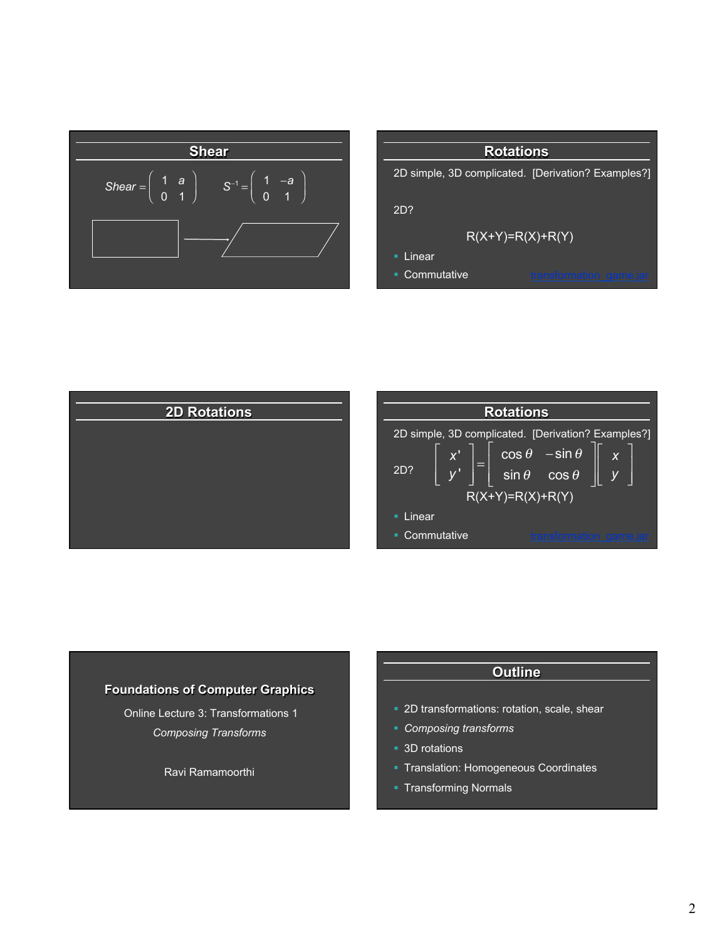





### **Foundations of Computer Graphics**

 Online Lecture 3: Transformations 1 *Composing Transforms* 

Ravi Ramamoorthi

# **Outline**

- § 2D transformations: rotation, scale, shear
- § *Composing transforms*
- 3D rotations
- § Translation: Homogeneous Coordinates
- § Transforming Normals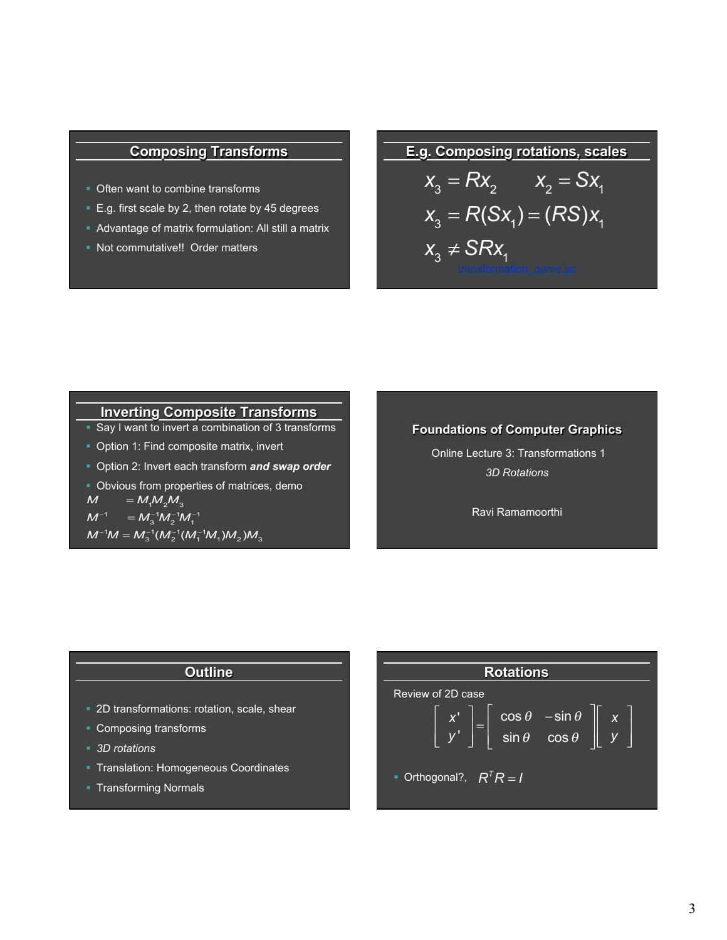# **Composing Transforms**

- Often want to combine transforms
- E.g. first scale by 2, then rotate by 45 degrees
- § Advantage of matrix formulation: All still a matrix
- § Not commutative!! Order matters

# **E.g. Composing rotations, scales**

$$
x_3 = Rx_2 \t x_2 = Sx_1
$$
  
\n
$$
x_3 = R(Sx_1) = (RS)x_1
$$
  
\n
$$
x_3 \neq SRx_1
$$
transformation gameier

## **Inverting Composite Transforms**

- Say I want to invert a combination of 3 transforms
- Option 1: Find composite matrix, invert
- § Option 2: Invert each transform *and swap order*
- Obvious from properties of matrices, demo  $M = M_1 M_2 M_3$  $M^{-1} = M_3^{-1} M_2^{-1} M_1^{-1}$

 $M^{-1}M = M_3^{-1}(M_2^{-1}(M_1^{-1}M_1)M_2)M_3$ 

#### **Foundations of Computer Graphics**

 Online Lecture 3: Transformations 1 *3D Rotations* 

Ravi Ramamoorthi

# **Outline**

- 2D transformations: rotation, scale, shear
- § Composing transforms
- § *3D rotations*
- § Translation: Homogeneous Coordinates
- § Transforming Normals

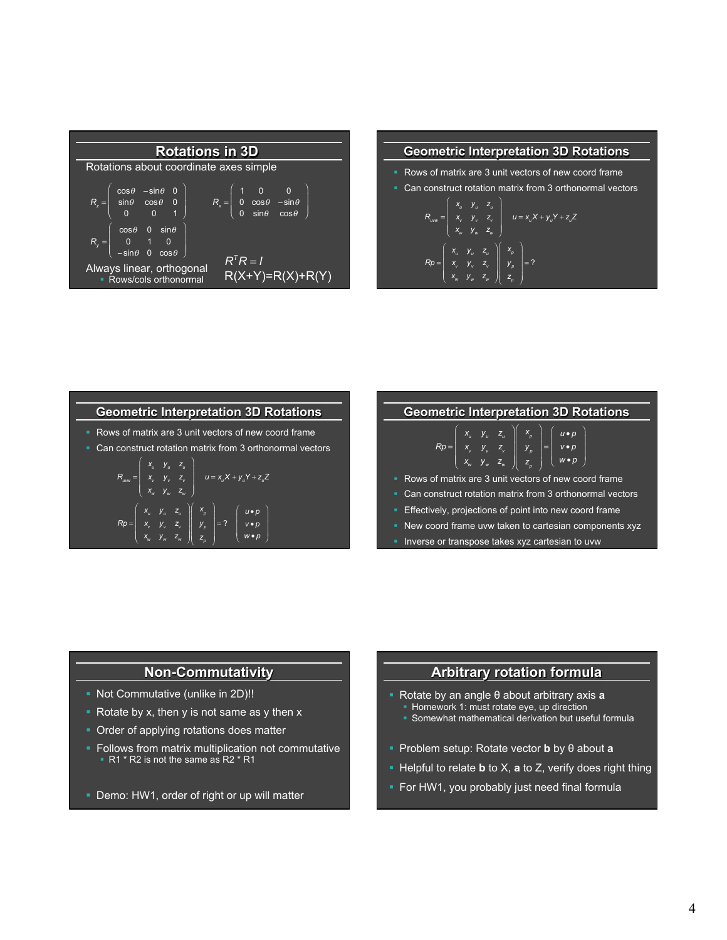



# **Geometric Interpretation 3D Rotations**

- Rows of matrix are 3 unit vectors of new coord frame
- Can construct rotation matrix from 3 orthonormal vectors

$$
R_{\text{row}} = \begin{pmatrix} x_{u} & y_{u} & z_{u} \\ x_{v} & y_{v} & z_{v} \\ x_{w} & y_{w} & z_{w} \end{pmatrix} \quad u = x_{u}X + y_{u}Y + z_{u}Z
$$

$$
Rp = \begin{pmatrix} x_{u} & y_{u} & z_{u} \\ x_{v} & y_{v} & z_{v} \\ x_{v} & y_{v} & z_{v} \end{pmatrix} \begin{pmatrix} x_{p} \\ y_{p} \\ z_{p} \end{pmatrix} = ? \begin{pmatrix} u \cdot p \\ v \cdot p \\ w \cdot p \\ w \cdot p \end{pmatrix}
$$

| <b>Geometric Interpretation 3D Rotations</b>                                                                                                                                                                   |
|----------------------------------------------------------------------------------------------------------------------------------------------------------------------------------------------------------------|
| $Rp = \begin{pmatrix} x_u & y_u & z_u \\ x_v & y_v & z_v \\ x_w & y_w & z_w \end{pmatrix} \begin{pmatrix} x_p \\ y_p \\ z_p \end{pmatrix} = \begin{pmatrix} u \cdot p \\ v \cdot p \\ w \cdot p \end{pmatrix}$ |
| • Rows of matrix are 3 unit vectors of new coord frame                                                                                                                                                         |
| • Can construct rotation matrix from 3 orthonormal vectors                                                                                                                                                     |
| <b>Effectively, projections of point into new coord frame</b>                                                                                                                                                  |
| • New coord frame uvw taken to cartesian components xyz                                                                                                                                                        |
| <b>Inverse or transpose takes xyz cartesian to uvw</b>                                                                                                                                                         |

# **Non-Commutativity**

- § Not Commutative (unlike in 2D)!!
- Rotate by x, then y is not same as y then  $x$
- Order of applying rotations does matter
- Follows from matrix multiplication not commutative ■ R1 \* R2 is not the same as R2 \* R1
- Demo: HW1, order of right or up will matter

# **Arbitrary rotation formula**

- § Rotate by an angle θ about arbitrary axis **a Homework 1: must rotate eye, up direction** 
	- Somewhat mathematical derivation but useful formula
- § Problem setup: Rotate vector **b** by θ about **a**
- § Helpful to relate **b** to X, **a** to Z, verify does right thing
- **For HW1, you probably just need final formula**